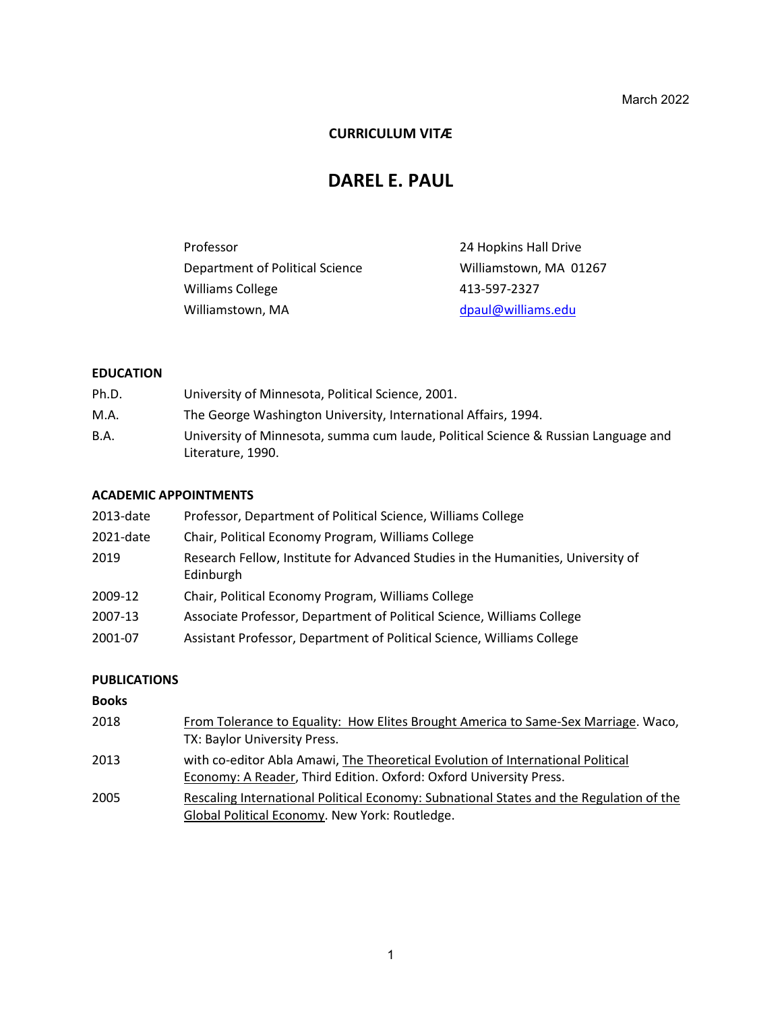March 2022

### **CURRICULUM VITÆ**

# **DAREL E. PAUL**

| Professor                       | 24 Hopkins Hall Drive  |
|---------------------------------|------------------------|
| Department of Political Science | Williamstown, MA 01267 |
| Williams College                | 413-597-2327           |
| Williamstown, MA                | dpaul@williams.edu     |

### **EDUCATION**

| Ph.D. | University of Minnesota, Political Science, 2001.                                                       |
|-------|---------------------------------------------------------------------------------------------------------|
| M.A.  | The George Washington University, International Affairs, 1994.                                          |
| B.A.  | University of Minnesota, summa cum laude, Political Science & Russian Language and<br>Literature, 1990. |

#### **ACADEMIC APPOINTMENTS**

| 2013-date | Professor, Department of Political Science, Williams College                                  |
|-----------|-----------------------------------------------------------------------------------------------|
| 2021-date | Chair, Political Economy Program, Williams College                                            |
| 2019      | Research Fellow, Institute for Advanced Studies in the Humanities, University of<br>Edinburgh |
| 2009-12   | Chair, Political Economy Program, Williams College                                            |
| 2007-13   | Associate Professor, Department of Political Science, Williams College                        |
| 2001-07   | Assistant Professor, Department of Political Science, Williams College                        |

### **PUBLICATIONS**

### **Books**

| 2018 | From Tolerance to Equality: How Elites Brought America to Same-Sex Marriage. Waco,                                                                    |
|------|-------------------------------------------------------------------------------------------------------------------------------------------------------|
|      | TX: Baylor University Press.                                                                                                                          |
| 2013 | with co-editor Abla Amawi, The Theoretical Evolution of International Political<br>Economy: A Reader, Third Edition. Oxford: Oxford University Press. |
| 2005 | Rescaling International Political Economy: Subnational States and the Regulation of the                                                               |
|      | Global Political Economy. New York: Routledge.                                                                                                        |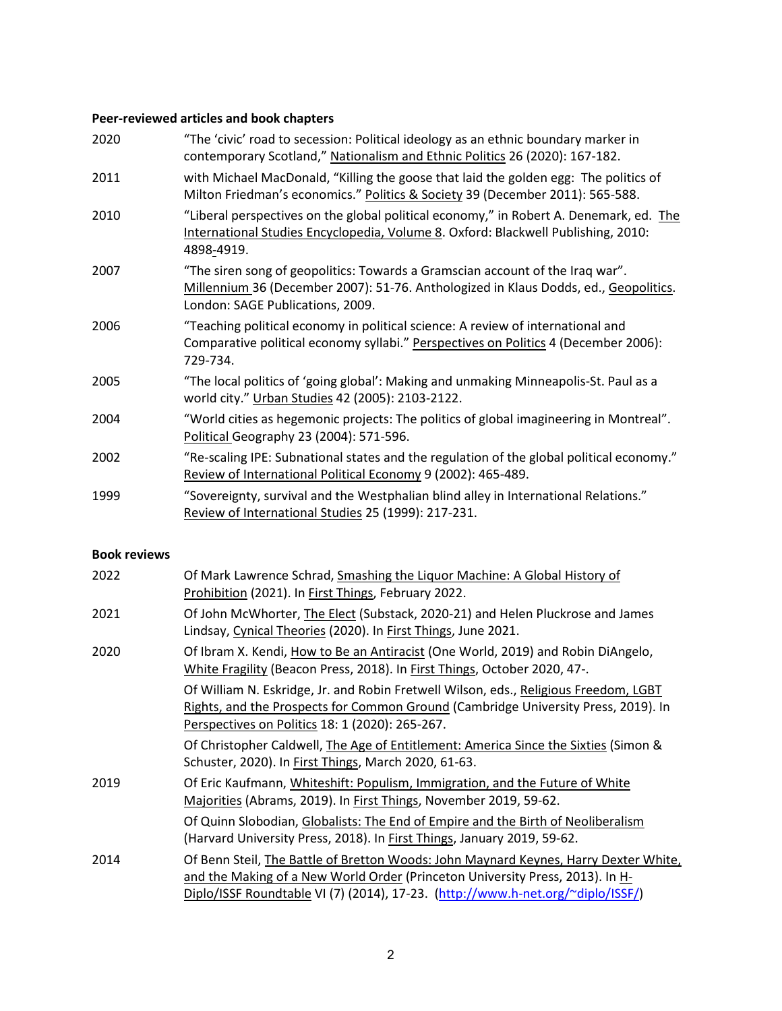# **Peer-reviewed articles and book chapters**

| 2020 | "The 'civic' road to secession: Political ideology as an ethnic boundary marker in<br>contemporary Scotland," Nationalism and Ethnic Politics 26 (2020): 167-182.                                         |
|------|-----------------------------------------------------------------------------------------------------------------------------------------------------------------------------------------------------------|
| 2011 | with Michael MacDonald, "Killing the goose that laid the golden egg: The politics of<br>Milton Friedman's economics." Politics & Society 39 (December 2011): 565-588.                                     |
| 2010 | "Liberal perspectives on the global political economy," in Robert A. Denemark, ed. The<br>International Studies Encyclopedia, Volume 8. Oxford: Blackwell Publishing, 2010:<br>4898-4919.                 |
| 2007 | "The siren song of geopolitics: Towards a Gramscian account of the Iraq war".<br>Millennium 36 (December 2007): 51-76. Anthologized in Klaus Dodds, ed., Geopolitics.<br>London: SAGE Publications, 2009. |
| 2006 | "Teaching political economy in political science: A review of international and<br>Comparative political economy syllabi." Perspectives on Politics 4 (December 2006):<br>729-734.                        |
| 2005 | "The local politics of 'going global': Making and unmaking Minneapolis-St. Paul as a<br>world city." Urban Studies 42 (2005): 2103-2122.                                                                  |
| 2004 | "World cities as hegemonic projects: The politics of global imagineering in Montreal".<br>Political Geography 23 (2004): 571-596.                                                                         |
| 2002 | "Re-scaling IPE: Subnational states and the regulation of the global political economy."<br>Review of International Political Economy 9 (2002): 465-489.                                                  |
| 1999 | "Sovereignty, survival and the Westphalian blind alley in International Relations."<br>Review of International Studies 25 (1999): 217-231.                                                                |

#### **Book reviews**

| 2022 | Of Mark Lawrence Schrad, Smashing the Liquor Machine: A Global History of<br>Prohibition (2021). In First Things, February 2022.                                                                                                                         |
|------|----------------------------------------------------------------------------------------------------------------------------------------------------------------------------------------------------------------------------------------------------------|
| 2021 | Of John McWhorter, The Elect (Substack, 2020-21) and Helen Pluckrose and James<br>Lindsay, Cynical Theories (2020). In First Things, June 2021.                                                                                                          |
| 2020 | Of Ibram X. Kendi, How to Be an Antiracist (One World, 2019) and Robin DiAngelo,<br>White Fragility (Beacon Press, 2018). In First Things, October 2020, 47-.                                                                                            |
|      | Of William N. Eskridge, Jr. and Robin Fretwell Wilson, eds., Religious Freedom, LGBT<br>Rights, and the Prospects for Common Ground (Cambridge University Press, 2019). In<br>Perspectives on Politics 18: 1 (2020): 265-267.                            |
|      | Of Christopher Caldwell, The Age of Entitlement: America Since the Sixties (Simon &<br>Schuster, 2020). In First Things, March 2020, 61-63.                                                                                                              |
| 2019 | Of Eric Kaufmann, Whiteshift: Populism, Immigration, and the Future of White<br>Majorities (Abrams, 2019). In First Things, November 2019, 59-62.                                                                                                        |
|      | Of Quinn Slobodian, Globalists: The End of Empire and the Birth of Neoliberalism<br>(Harvard University Press, 2018). In First Things, January 2019, 59-62.                                                                                              |
| 2014 | Of Benn Steil, The Battle of Bretton Woods: John Maynard Keynes, Harry Dexter White,<br>and the Making of a New World Order (Princeton University Press, 2013). In H-<br>Diplo/ISSF Roundtable VI (7) (2014), 17-23. (http://www.h-net.org/~diplo/ISSF/) |
|      |                                                                                                                                                                                                                                                          |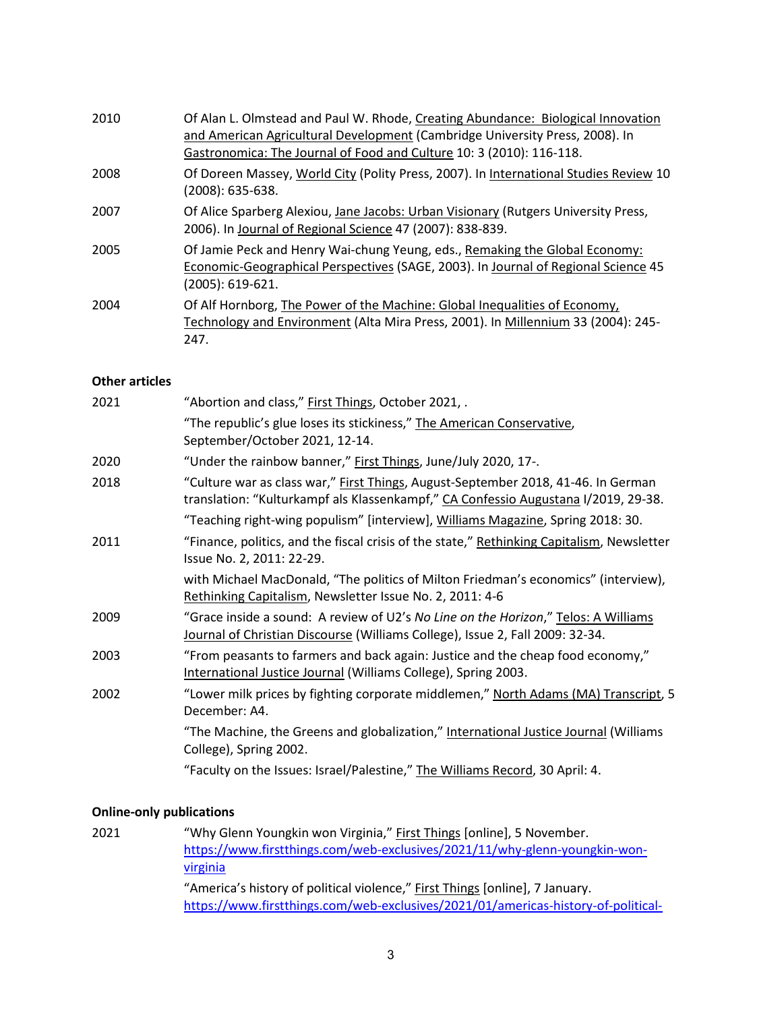| 2010 | Of Alan L. Olmstead and Paul W. Rhode, Creating Abundance: Biological Innovation<br>and American Agricultural Development (Cambridge University Press, 2008). In<br>Gastronomica: The Journal of Food and Culture 10: 3 (2010): 116-118. |
|------|------------------------------------------------------------------------------------------------------------------------------------------------------------------------------------------------------------------------------------------|
| 2008 | Of Doreen Massey, World City (Polity Press, 2007). In International Studies Review 10<br>(2008): 635-638.                                                                                                                                |
| 2007 | Of Alice Sparberg Alexiou, Jane Jacobs: Urban Visionary (Rutgers University Press,<br>2006). In Journal of Regional Science 47 (2007): 838-839.                                                                                          |
| 2005 | Of Jamie Peck and Henry Wai-chung Yeung, eds., Remaking the Global Economy:<br>Economic-Geographical Perspectives (SAGE, 2003). In Journal of Regional Science 45<br>(2005): 619-621.                                                    |
| 2004 | Of Alf Hornborg, The Power of the Machine: Global Inequalities of Economy,<br>Technology and Environment (Alta Mira Press, 2001). In Millennium 33 (2004): 245-<br>247.                                                                  |

### **Other articles**

| 2021 | "Abortion and class," First Things, October 2021, .                                                                                                                     |
|------|-------------------------------------------------------------------------------------------------------------------------------------------------------------------------|
|      | "The republic's glue loses its stickiness," The American Conservative,<br>September/October 2021, 12-14.                                                                |
| 2020 | "Under the rainbow banner," First Things, June/July 2020, 17-.                                                                                                          |
| 2018 | "Culture war as class war," First Things, August-September 2018, 41-46. In German<br>translation: "Kulturkampf als Klassenkampf," CA Confessio Augustana I/2019, 29-38. |
|      | "Teaching right-wing populism" [interview], Williams Magazine, Spring 2018: 30.                                                                                         |
| 2011 | "Finance, politics, and the fiscal crisis of the state," Rethinking Capitalism, Newsletter<br>Issue No. 2, 2011: 22-29.                                                 |
|      | with Michael MacDonald, "The politics of Milton Friedman's economics" (interview),<br>Rethinking Capitalism, Newsletter Issue No. 2, 2011: 4-6                          |
| 2009 | "Grace inside a sound: A review of U2's No Line on the Horizon," Telos: A Williams<br>Journal of Christian Discourse (Williams College), Issue 2, Fall 2009: 32-34.     |
| 2003 | "From peasants to farmers and back again: Justice and the cheap food economy,"<br>International Justice Journal (Williams College), Spring 2003.                        |
| 2002 | "Lower milk prices by fighting corporate middlemen," North Adams (MA) Transcript, 5<br>December: A4.                                                                    |
|      | "The Machine, the Greens and globalization," International Justice Journal (Williams<br>College), Spring 2002.                                                          |
|      | "Faculty on the Issues: Israel/Palestine," The Williams Record, 30 April: 4.                                                                                            |

## **Online-only publications**

| 2021 | "Why Glenn Youngkin won Virginia," First Things [online], 5 November.             |
|------|-----------------------------------------------------------------------------------|
|      | https://www.firstthings.com/web-exclusives/2021/11/why-glenn-youngkin-won-        |
|      | virginia                                                                          |
|      | "America's history of political violence," First Things [online], 7 January.      |
|      | https://www.firstthings.com/web-exclusives/2021/01/americas-history-of-political- |
|      |                                                                                   |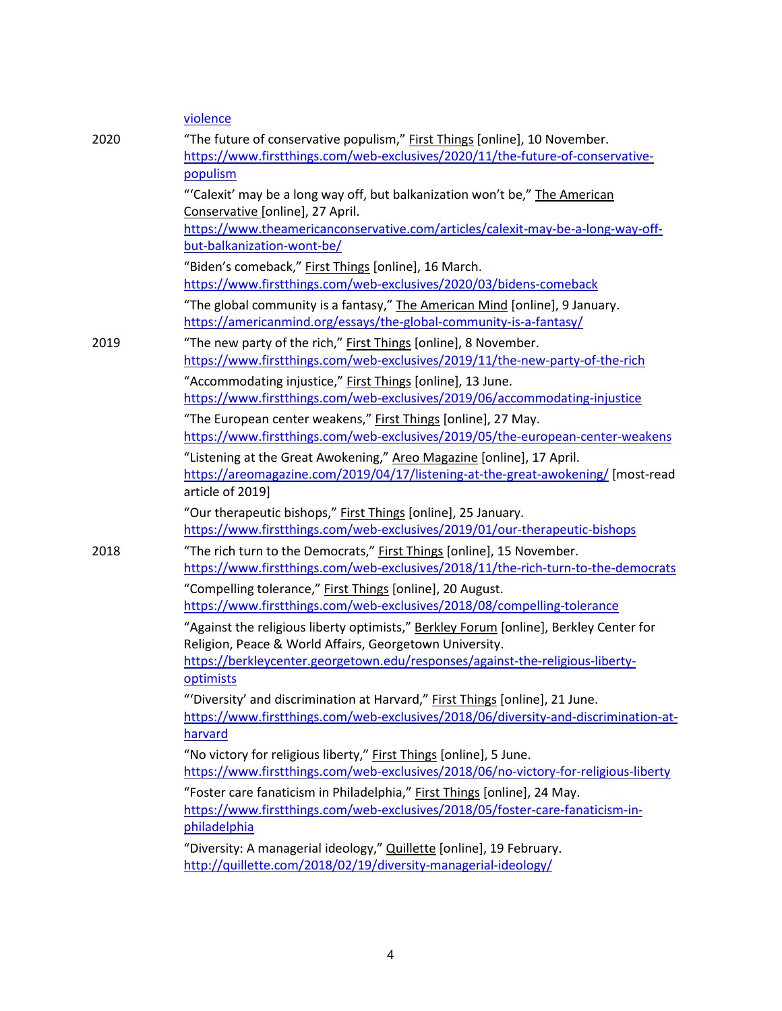|      | violence                                                                                                                                                                                                                                                                                    |
|------|---------------------------------------------------------------------------------------------------------------------------------------------------------------------------------------------------------------------------------------------------------------------------------------------|
| 2020 | "The future of conservative populism," First Things [online], 10 November.<br>https://www.firstthings.com/web-exclusives/2020/11/the-future-of-conservative-<br>populism                                                                                                                    |
|      | "'Calexit' may be a long way off, but balkanization won't be," The American<br>Conservative [online], 27 April.<br>https://www.theamericanconservative.com/articles/calexit-may-be-a-long-way-off-<br>but-balkanization-wont-be/                                                            |
|      | "Biden's comeback," First Things [online], 16 March.<br>https://www.firstthings.com/web-exclusives/2020/03/bidens-comeback                                                                                                                                                                  |
|      | "The global community is a fantasy," The American Mind [online], 9 January.<br>https://americanmind.org/essays/the-global-community-is-a-fantasy/                                                                                                                                           |
| 2019 | "The new party of the rich," First Things [online], 8 November.<br>https://www.firstthings.com/web-exclusives/2019/11/the-new-party-of-the-rich                                                                                                                                             |
|      | "Accommodating injustice," First Things [online], 13 June.<br>https://www.firstthings.com/web-exclusives/2019/06/accommodating-injustice<br>"The European center weakens," First Things [online], 27 May.<br>https://www.firstthings.com/web-exclusives/2019/05/the-european-center-weakens |
|      | "Listening at the Great Awokening," Areo Magazine [online], 17 April.<br>https://areomagazine.com/2019/04/17/listening-at-the-great-awokening/ [most-read<br>article of 2019]                                                                                                               |
|      | "Our therapeutic bishops," First Things [online], 25 January.<br>https://www.firstthings.com/web-exclusives/2019/01/our-therapeutic-bishops                                                                                                                                                 |
| 2018 | "The rich turn to the Democrats," First Things [online], 15 November.<br>https://www.firstthings.com/web-exclusives/2018/11/the-rich-turn-to-the-democrats                                                                                                                                  |
|      | "Compelling tolerance," First Things [online], 20 August.<br>https://www.firstthings.com/web-exclusives/2018/08/compelling-tolerance                                                                                                                                                        |
|      | "Against the religious liberty optimists," Berkley Forum [online], Berkley Center for<br>Religion, Peace & World Affairs, Georgetown University.                                                                                                                                            |
|      | https://berkleycenter.georgetown.edu/responses/against-the-religious-liberty-<br>optimists                                                                                                                                                                                                  |
|      | "'Diversity' and discrimination at Harvard," First Things [online], 21 June.<br>https://www.firstthings.com/web-exclusives/2018/06/diversity-and-discrimination-at-<br>harvard                                                                                                              |
|      | "No victory for religious liberty," First Things [online], 5 June.<br>https://www.firstthings.com/web-exclusives/2018/06/no-victory-for-religious-liberty                                                                                                                                   |
|      | "Foster care fanaticism in Philadelphia," First Things [online], 24 May.<br>https://www.firstthings.com/web-exclusives/2018/05/foster-care-fanaticism-in-<br>philadelphia                                                                                                                   |
|      | "Diversity: A managerial ideology," Quillette [online], 19 February.<br>http://quillette.com/2018/02/19/diversity-managerial-ideology/                                                                                                                                                      |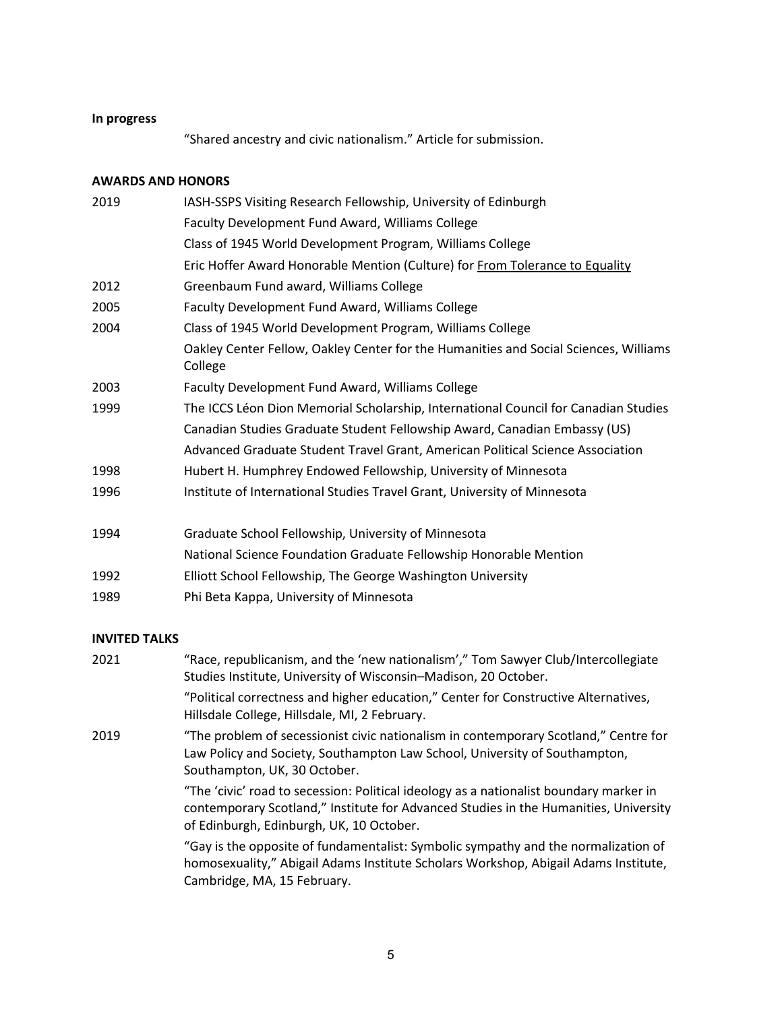### **In progress**

"Shared ancestry and civic nationalism." Article for submission.

#### **AWARDS AND HONORS**

| 2019 | IASH-SSPS Visiting Research Fellowship, University of Edinburgh                                 |
|------|-------------------------------------------------------------------------------------------------|
|      | Faculty Development Fund Award, Williams College                                                |
|      | Class of 1945 World Development Program, Williams College                                       |
|      | Eric Hoffer Award Honorable Mention (Culture) for From Tolerance to Equality                    |
| 2012 | Greenbaum Fund award, Williams College                                                          |
| 2005 | Faculty Development Fund Award, Williams College                                                |
| 2004 | Class of 1945 World Development Program, Williams College                                       |
|      | Oakley Center Fellow, Oakley Center for the Humanities and Social Sciences, Williams<br>College |
| 2003 | Faculty Development Fund Award, Williams College                                                |
| 1999 | The ICCS Léon Dion Memorial Scholarship, International Council for Canadian Studies             |
|      | Canadian Studies Graduate Student Fellowship Award, Canadian Embassy (US)                       |
|      | Advanced Graduate Student Travel Grant, American Political Science Association                  |
| 1998 | Hubert H. Humphrey Endowed Fellowship, University of Minnesota                                  |
| 1996 | Institute of International Studies Travel Grant, University of Minnesota                        |
| 1994 | Graduate School Fellowship, University of Minnesota                                             |
|      | National Science Foundation Graduate Fellowship Honorable Mention                               |
| 1000 | 医甲状腺 化乙基苯 医卡普尔氏反应 医抗生活 医抗原 医无子宫 医心包内障 医心包 医心包 医心包 医心包的                                          |

- 1992 Elliott School Fellowship, The George Washington University
- 1989 Phi Beta Kappa, University of Minnesota

### **INVITED TALKS**

| 2021 | "Race, republicanism, and the 'new nationalism'," Tom Sawyer Club/Intercollegiate<br>Studies Institute, University of Wisconsin-Madison, 20 October.                                                                       |
|------|----------------------------------------------------------------------------------------------------------------------------------------------------------------------------------------------------------------------------|
|      | "Political correctness and higher education," Center for Constructive Alternatives,<br>Hillsdale College, Hillsdale, MI, 2 February.                                                                                       |
| 2019 | "The problem of secessionist civic nationalism in contemporary Scotland," Centre for<br>Law Policy and Society, Southampton Law School, University of Southampton,<br>Southampton, UK, 30 October.                         |
|      | "The 'civic' road to secession: Political ideology as a nationalist boundary marker in<br>contemporary Scotland," Institute for Advanced Studies in the Humanities, University<br>of Edinburgh, Edinburgh, UK, 10 October. |
|      | "Gay is the opposite of fundamentalist: Symbolic sympathy and the normalization of<br>homosexuality," Abigail Adams Institute Scholars Workshop, Abigail Adams Institute,<br>Cambridge, MA, 15 February.                   |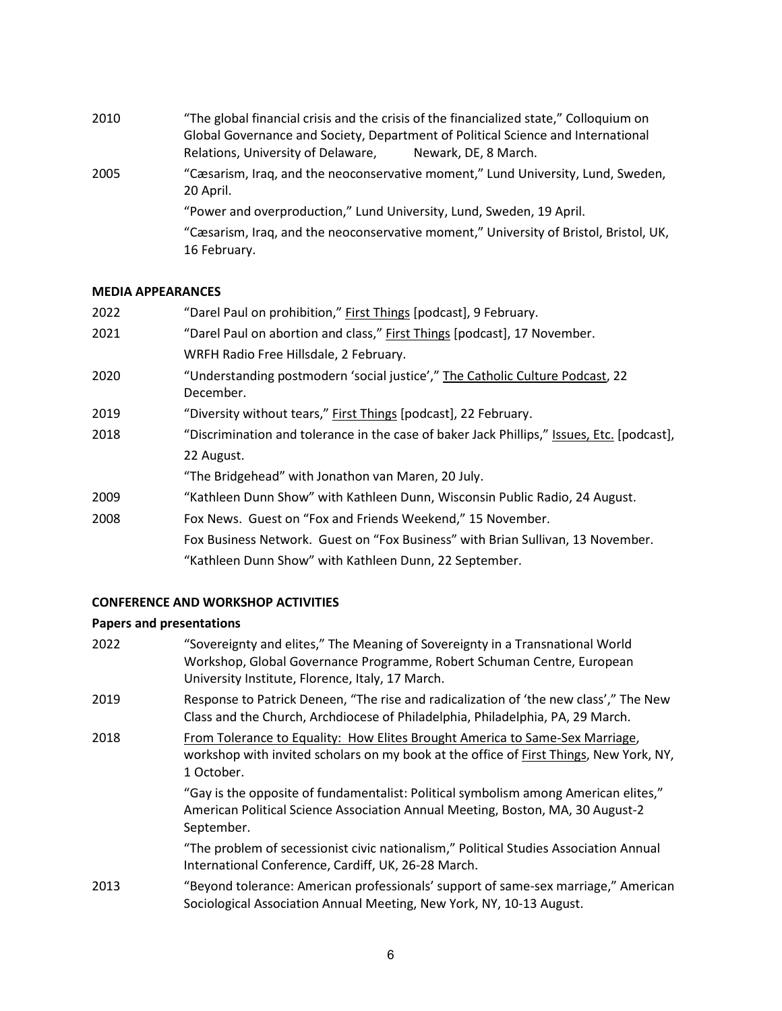2010 "The global financial crisis and the crisis of the financialized state," Colloquium on Global Governance and Society, Department of Political Science and International Relations, University of Delaware, Newark, DE, 8 March. 2005 "Cæsarism, Iraq, and the neoconservative moment," Lund University, Lund, Sweden, 20 April. "Power and overproduction," Lund University, Lund, Sweden, 19 April. "Cæsarism, Iraq, and the neoconservative moment," University of Bristol, Bristol, UK, 16 February.

#### **MEDIA APPEARANCES**

| "Darel Paul on prohibition," First Things [podcast], 9 February.                           |
|--------------------------------------------------------------------------------------------|
| "Darel Paul on abortion and class," First Things [podcast], 17 November.                   |
| WRFH Radio Free Hillsdale, 2 February.                                                     |
| "Understanding postmodern 'social justice'," The Catholic Culture Podcast, 22<br>December. |
| "Diversity without tears," First Things [podcast], 22 February.                            |
| "Discrimination and tolerance in the case of baker Jack Phillips," Issues, Etc. [podcast], |
| 22 August.                                                                                 |
| "The Bridgehead" with Jonathon van Maren, 20 July.                                         |
| "Kathleen Dunn Show" with Kathleen Dunn, Wisconsin Public Radio, 24 August.                |
| Fox News. Guest on "Fox and Friends Weekend," 15 November.                                 |
| Fox Business Network. Guest on "Fox Business" with Brian Sullivan, 13 November.            |
| "Kathleen Dunn Show" with Kathleen Dunn, 22 September.                                     |
|                                                                                            |

#### **CONFERENCE AND WORKSHOP ACTIVITIES**

#### **Papers and presentations**

| 2022 | "Sovereignty and elites," The Meaning of Sovereignty in a Transnational World<br>Workshop, Global Governance Programme, Robert Schuman Centre, European<br>University Institute, Florence, Italy, 17 March. |
|------|-------------------------------------------------------------------------------------------------------------------------------------------------------------------------------------------------------------|
| 2019 | Response to Patrick Deneen, "The rise and radicalization of 'the new class'," The New<br>Class and the Church, Archdiocese of Philadelphia, Philadelphia, PA, 29 March.                                     |
| 2018 | From Tolerance to Equality: How Elites Brought America to Same-Sex Marriage,<br>workshop with invited scholars on my book at the office of First Things, New York, NY,<br>1 October.                        |
|      | "Gay is the opposite of fundamentalist: Political symbolism among American elites,"<br>American Political Science Association Annual Meeting, Boston, MA, 30 August-2<br>September.                         |
|      | "The problem of secessionist civic nationalism," Political Studies Association Annual<br>International Conference, Cardiff, UK, 26-28 March.                                                                |
| 2013 | "Beyond tolerance: American professionals' support of same-sex marriage," American<br>Sociological Association Annual Meeting, New York, NY, 10-13 August.                                                  |
|      |                                                                                                                                                                                                             |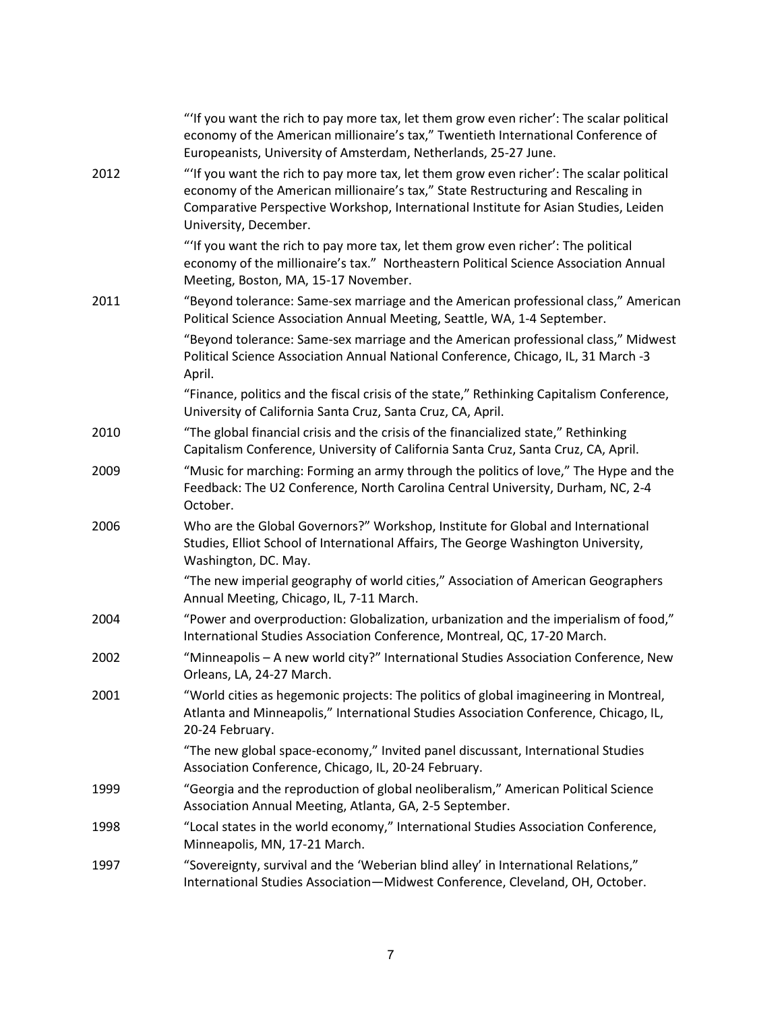|      | "If you want the rich to pay more tax, let them grow even richer': The scalar political<br>economy of the American millionaire's tax," Twentieth International Conference of<br>Europeanists, University of Amsterdam, Netherlands, 25-27 June.                                             |
|------|---------------------------------------------------------------------------------------------------------------------------------------------------------------------------------------------------------------------------------------------------------------------------------------------|
| 2012 | "If you want the rich to pay more tax, let them grow even richer': The scalar political<br>economy of the American millionaire's tax," State Restructuring and Rescaling in<br>Comparative Perspective Workshop, International Institute for Asian Studies, Leiden<br>University, December. |
|      | "'If you want the rich to pay more tax, let them grow even richer': The political<br>economy of the millionaire's tax." Northeastern Political Science Association Annual<br>Meeting, Boston, MA, 15-17 November.                                                                           |
| 2011 | "Beyond tolerance: Same-sex marriage and the American professional class," American<br>Political Science Association Annual Meeting, Seattle, WA, 1-4 September.                                                                                                                            |
|      | "Beyond tolerance: Same-sex marriage and the American professional class," Midwest<br>Political Science Association Annual National Conference, Chicago, IL, 31 March -3<br>April.                                                                                                          |
|      | "Finance, politics and the fiscal crisis of the state," Rethinking Capitalism Conference,<br>University of California Santa Cruz, Santa Cruz, CA, April.                                                                                                                                    |
| 2010 | "The global financial crisis and the crisis of the financialized state," Rethinking<br>Capitalism Conference, University of California Santa Cruz, Santa Cruz, CA, April.                                                                                                                   |
| 2009 | "Music for marching: Forming an army through the politics of love," The Hype and the<br>Feedback: The U2 Conference, North Carolina Central University, Durham, NC, 2-4<br>October.                                                                                                         |
| 2006 | Who are the Global Governors?" Workshop, Institute for Global and International<br>Studies, Elliot School of International Affairs, The George Washington University,<br>Washington, DC. May.                                                                                               |
|      | "The new imperial geography of world cities," Association of American Geographers<br>Annual Meeting, Chicago, IL, 7-11 March.                                                                                                                                                               |
| 2004 | "Power and overproduction: Globalization, urbanization and the imperialism of food,"<br>International Studies Association Conference, Montreal, QC, 17-20 March.                                                                                                                            |
| 2002 | "Minneapolis - A new world city?" International Studies Association Conference, New<br>Orleans, LA, 24-27 March.                                                                                                                                                                            |
| 2001 | "World cities as hegemonic projects: The politics of global imagineering in Montreal,<br>Atlanta and Minneapolis," International Studies Association Conference, Chicago, IL,<br>20-24 February.                                                                                            |
|      | "The new global space-economy," Invited panel discussant, International Studies<br>Association Conference, Chicago, IL, 20-24 February.                                                                                                                                                     |
| 1999 | "Georgia and the reproduction of global neoliberalism," American Political Science<br>Association Annual Meeting, Atlanta, GA, 2-5 September.                                                                                                                                               |
| 1998 | "Local states in the world economy," International Studies Association Conference,<br>Minneapolis, MN, 17-21 March.                                                                                                                                                                         |
| 1997 | "Sovereignty, survival and the 'Weberian blind alley' in International Relations,"<br>International Studies Association-Midwest Conference, Cleveland, OH, October.                                                                                                                         |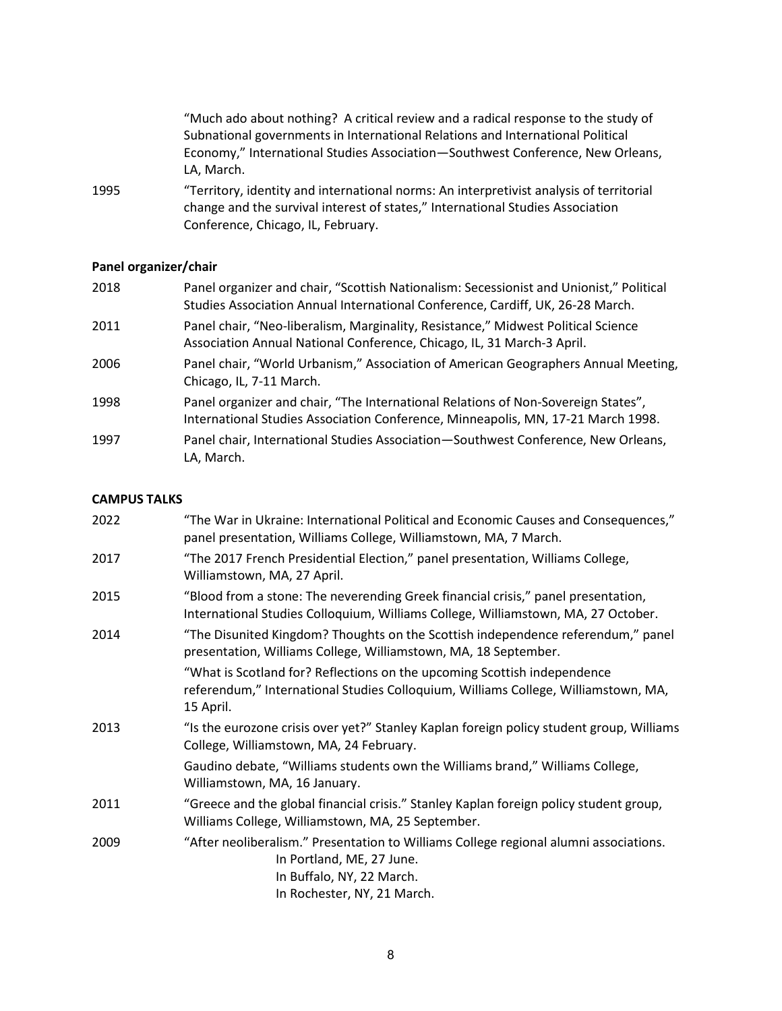| "Much ado about nothing? A critical review and a radical response to the study of      |
|----------------------------------------------------------------------------------------|
| Subnational governments in International Relations and International Political         |
| Economy," International Studies Association—Southwest Conference, New Orleans,         |
| LA. March.                                                                             |
| "Torritory identity and international nerms: An interpretivist analysis of territorial |

1995 "Territory, identity and international norms: An interpretivist analysis of territorial change and the survival interest of states," International Studies Association Conference, Chicago, IL, February.

### **Panel organizer/chair**

| 2018 | Panel organizer and chair, "Scottish Nationalism: Secessionist and Unionist," Political<br>Studies Association Annual International Conference, Cardiff, UK, 26-28 March. |
|------|---------------------------------------------------------------------------------------------------------------------------------------------------------------------------|
| 2011 | Panel chair, "Neo-liberalism, Marginality, Resistance," Midwest Political Science<br>Association Annual National Conference, Chicago, IL, 31 March-3 April.               |
| 2006 | Panel chair, "World Urbanism," Association of American Geographers Annual Meeting,<br>Chicago, IL, 7-11 March.                                                            |
| 1998 | Panel organizer and chair, "The International Relations of Non-Sovereign States",<br>International Studies Association Conference, Minneapolis, MN, 17-21 March 1998.     |
| 1997 | Panel chair, International Studies Association-Southwest Conference, New Orleans,<br>LA, March.                                                                           |

#### **CAMPUS TALKS**

| 2022 | "The War in Ukraine: International Political and Economic Causes and Consequences,"<br>panel presentation, Williams College, Williamstown, MA, 7 March.                        |
|------|--------------------------------------------------------------------------------------------------------------------------------------------------------------------------------|
| 2017 | "The 2017 French Presidential Election," panel presentation, Williams College,<br>Williamstown, MA, 27 April.                                                                  |
| 2015 | "Blood from a stone: The neverending Greek financial crisis," panel presentation,<br>International Studies Colloquium, Williams College, Williamstown, MA, 27 October.         |
| 2014 | "The Disunited Kingdom? Thoughts on the Scottish independence referendum," panel<br>presentation, Williams College, Williamstown, MA, 18 September.                            |
|      | "What is Scotland for? Reflections on the upcoming Scottish independence<br>referendum," International Studies Colloquium, Williams College, Williamstown, MA,<br>15 April.    |
| 2013 | "Is the eurozone crisis over yet?" Stanley Kaplan foreign policy student group, Williams<br>College, Williamstown, MA, 24 February.                                            |
|      | Gaudino debate, "Williams students own the Williams brand," Williams College,<br>Williamstown, MA, 16 January.                                                                 |
| 2011 | "Greece and the global financial crisis." Stanley Kaplan foreign policy student group,<br>Williams College, Williamstown, MA, 25 September.                                    |
| 2009 | "After neoliberalism." Presentation to Williams College regional alumni associations.<br>In Portland, ME, 27 June.<br>In Buffalo, NY, 22 March.<br>In Rochester, NY, 21 March. |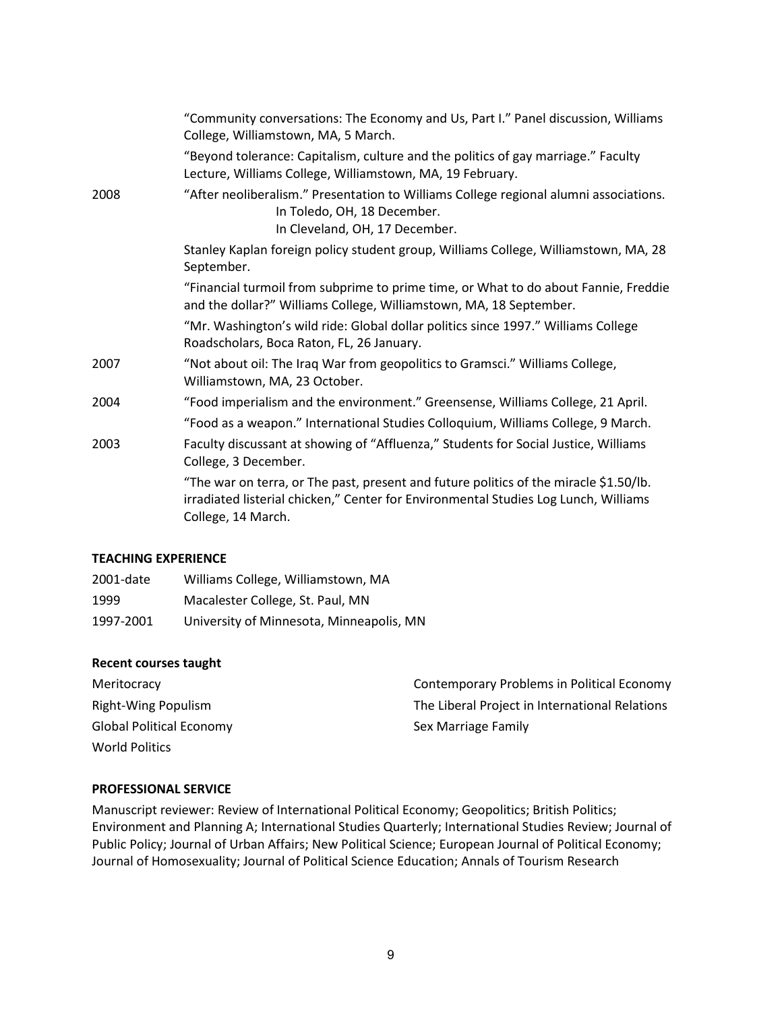|      | "Community conversations: The Economy and Us, Part I." Panel discussion, Williams<br>College, Williamstown, MA, 5 March.                                                                           |
|------|----------------------------------------------------------------------------------------------------------------------------------------------------------------------------------------------------|
|      | "Beyond tolerance: Capitalism, culture and the politics of gay marriage." Faculty<br>Lecture, Williams College, Williamstown, MA, 19 February.                                                     |
| 2008 | "After neoliberalism." Presentation to Williams College regional alumni associations.<br>In Toledo, OH, 18 December.<br>In Cleveland, OH, 17 December.                                             |
|      | Stanley Kaplan foreign policy student group, Williams College, Williamstown, MA, 28<br>September.                                                                                                  |
|      | "Financial turmoil from subprime to prime time, or What to do about Fannie, Freddie<br>and the dollar?" Williams College, Williamstown, MA, 18 September.                                          |
|      | "Mr. Washington's wild ride: Global dollar politics since 1997." Williams College<br>Roadscholars, Boca Raton, FL, 26 January.                                                                     |
| 2007 | "Not about oil: The Iraq War from geopolitics to Gramsci." Williams College,<br>Williamstown, MA, 23 October.                                                                                      |
| 2004 | "Food imperialism and the environment." Greensense, Williams College, 21 April.                                                                                                                    |
|      | "Food as a weapon." International Studies Colloquium, Williams College, 9 March.                                                                                                                   |
| 2003 | Faculty discussant at showing of "Affluenza," Students for Social Justice, Williams<br>College, 3 December.                                                                                        |
|      | "The war on terra, or The past, present and future politics of the miracle \$1.50/lb.<br>irradiated listerial chicken," Center for Environmental Studies Log Lunch, Williams<br>College, 14 March. |
|      |                                                                                                                                                                                                    |

#### **TEACHING EXPERIENCE**

| 2001-date | Williams College, Williamstown, MA       |
|-----------|------------------------------------------|
| 1999      | Macalester College, St. Paul, MN         |
| 1997-2001 | University of Minnesota, Minneapolis, MN |

#### **Recent courses taught**

| Meritocracy                     | Contemporary Problems in Political Economy     |
|---------------------------------|------------------------------------------------|
| Right-Wing Populism             | The Liberal Project in International Relations |
| <b>Global Political Economy</b> | Sex Marriage Family                            |
| <b>World Politics</b>           |                                                |
|                                 |                                                |

#### **PROFESSIONAL SERVICE**

Manuscript reviewer: Review of International Political Economy; Geopolitics; British Politics; Environment and Planning A; International Studies Quarterly; International Studies Review; Journal of Public Policy; Journal of Urban Affairs; New Political Science; European Journal of Political Economy; Journal of Homosexuality; Journal of Political Science Education; Annals of Tourism Research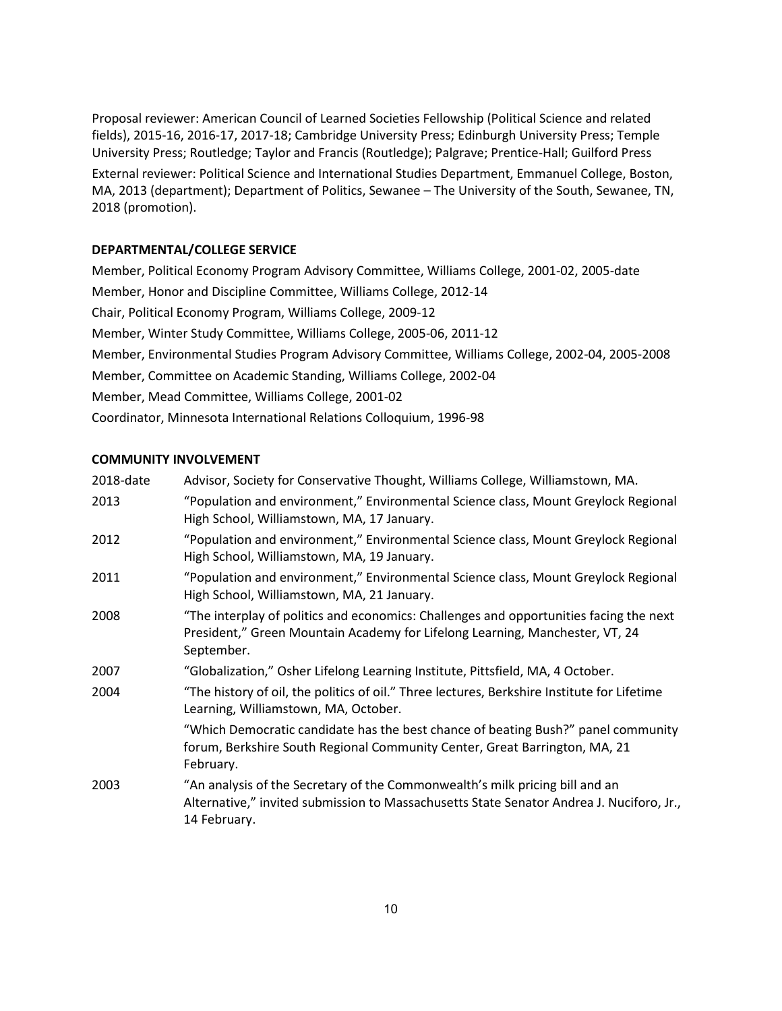Proposal reviewer: American Council of Learned Societies Fellowship (Political Science and related fields), 2015-16, 2016-17, 2017-18; Cambridge University Press; Edinburgh University Press; Temple University Press; Routledge; Taylor and Francis (Routledge); Palgrave; Prentice-Hall; Guilford Press External reviewer: Political Science and International Studies Department, Emmanuel College, Boston, MA, 2013 (department); Department of Politics, Sewanee – The University of the South, Sewanee, TN, 2018 (promotion).

#### **DEPARTMENTAL/COLLEGE SERVICE**

Member, Political Economy Program Advisory Committee, Williams College, 2001-02, 2005-date Member, Honor and Discipline Committee, Williams College, 2012-14 Chair, Political Economy Program, Williams College, 2009-12 Member, Winter Study Committee, Williams College, 2005-06, 2011-12 Member, Environmental Studies Program Advisory Committee, Williams College, 2002-04, 2005-2008 Member, Committee on Academic Standing, Williams College, 2002-04 Member, Mead Committee, Williams College, 2001-02 Coordinator, Minnesota International Relations Colloquium, 1996-98

#### **COMMUNITY INVOLVEMENT**

| 2018-date | Advisor, Society for Conservative Thought, Williams College, Williamstown, MA.                                                                                                           |
|-----------|------------------------------------------------------------------------------------------------------------------------------------------------------------------------------------------|
| 2013      | "Population and environment," Environmental Science class, Mount Greylock Regional<br>High School, Williamstown, MA, 17 January.                                                         |
| 2012      | "Population and environment," Environmental Science class, Mount Greylock Regional<br>High School, Williamstown, MA, 19 January.                                                         |
| 2011      | "Population and environment," Environmental Science class, Mount Greylock Regional<br>High School, Williamstown, MA, 21 January.                                                         |
| 2008      | "The interplay of politics and economics: Challenges and opportunities facing the next<br>President," Green Mountain Academy for Lifelong Learning, Manchester, VT, 24<br>September.     |
| 2007      | "Globalization," Osher Lifelong Learning Institute, Pittsfield, MA, 4 October.                                                                                                           |
| 2004      | "The history of oil, the politics of oil." Three lectures, Berkshire Institute for Lifetime<br>Learning, Williamstown, MA, October.                                                      |
|           | "Which Democratic candidate has the best chance of beating Bush?" panel community<br>forum, Berkshire South Regional Community Center, Great Barrington, MA, 21<br>February.             |
| 2003      | "An analysis of the Secretary of the Commonwealth's milk pricing bill and an<br>Alternative," invited submission to Massachusetts State Senator Andrea J. Nuciforo, Jr.,<br>14 February. |